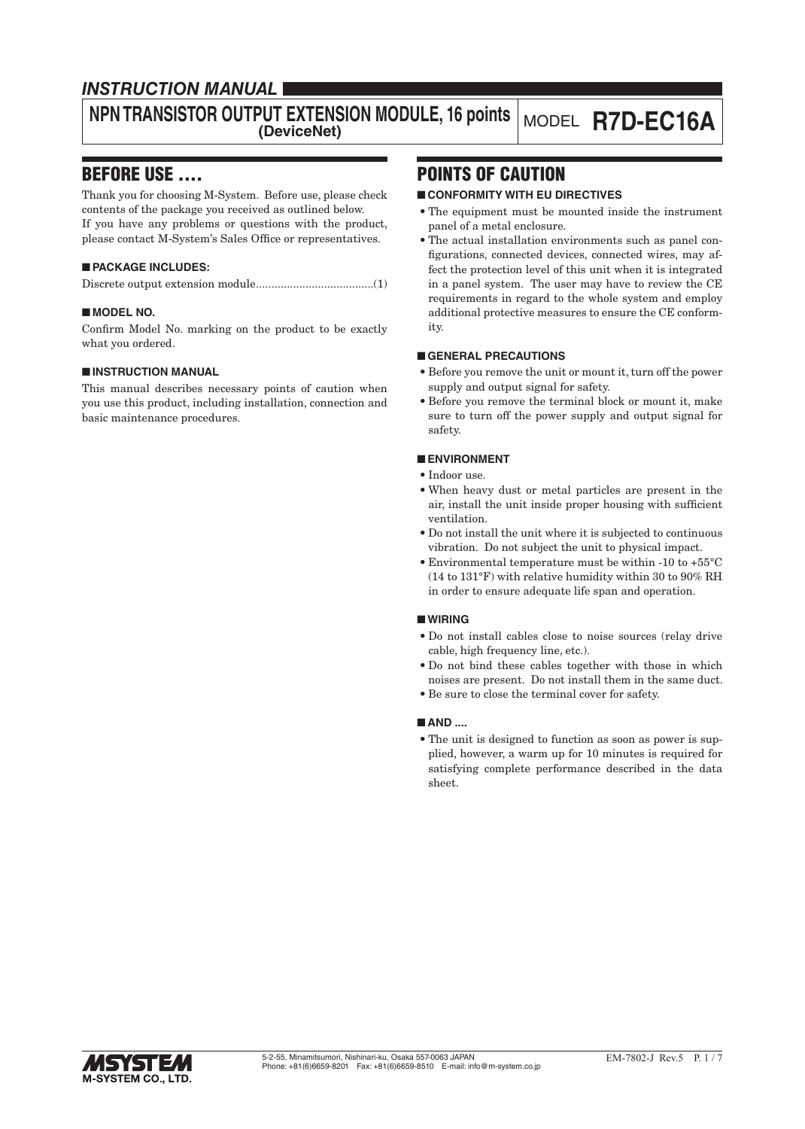# *INSTRUCTION MANUAL*

# **NPN TRANSISTOR OUTPUT EXTENSION MODULE, 16 points (DeviceNet)** MODEL **R7D-EC16A**

# BEFORE USE ....

Thank you for choosing M-System. Before use, please check contents of the package you received as outlined below. If you have any problems or questions with the product, please contact M-System's Sales Office or representatives.

# ■ **PACKAGE INCLUDES:**

|--|--|--|--|--|--|

## ■ **MODEL NO.**

Confirm Model No. marking on the product to be exactly what you ordered.

## ■ **INSTRUCTION MANUAL**

This manual describes necessary points of caution when you use this product, including installation, connection and basic maintenance procedures.

# POINTS OF CAUTION

# ■ **CONFORMITY WITH EU DIRECTIVES**

- The equipment must be mounted inside the instrument panel of a metal enclosure.
- The actual installation environments such as panel configurations, connected devices, connected wires, may affect the protection level of this unit when it is integrated in a panel system. The user may have to review the CE requirements in regard to the whole system and employ additional protective measures to ensure the CE conformity.

## ■ **GENERAL PRECAUTIONS**

- Before you remove the unit or mount it, turn off the power supply and output signal for safety.
- Before you remove the terminal block or mount it, make sure to turn off the power supply and output signal for safety.

# ■ **ENVIRONMENT**

- Indoor use.
- When heavy dust or metal particles are present in the air, install the unit inside proper housing with sufficient ventilation.
- Do not install the unit where it is subjected to continuous vibration. Do not subject the unit to physical impact.
- Environmental temperature must be within -10 to +55°C (14 to 131°F) with relative humidity within 30 to 90% RH in order to ensure adequate life span and operation.

## ■ **WIRING**

- Do not install cables close to noise sources (relay drive cable, high frequency line, etc.).
- Do not bind these cables together with those in which noises are present. Do not install them in the same duct.
- Be sure to close the terminal cover for safety.

## ■ **AND** ....

• The unit is designed to function as soon as power is supplied, however, a warm up for 10 minutes is required for satisfying complete performance described in the data sheet.

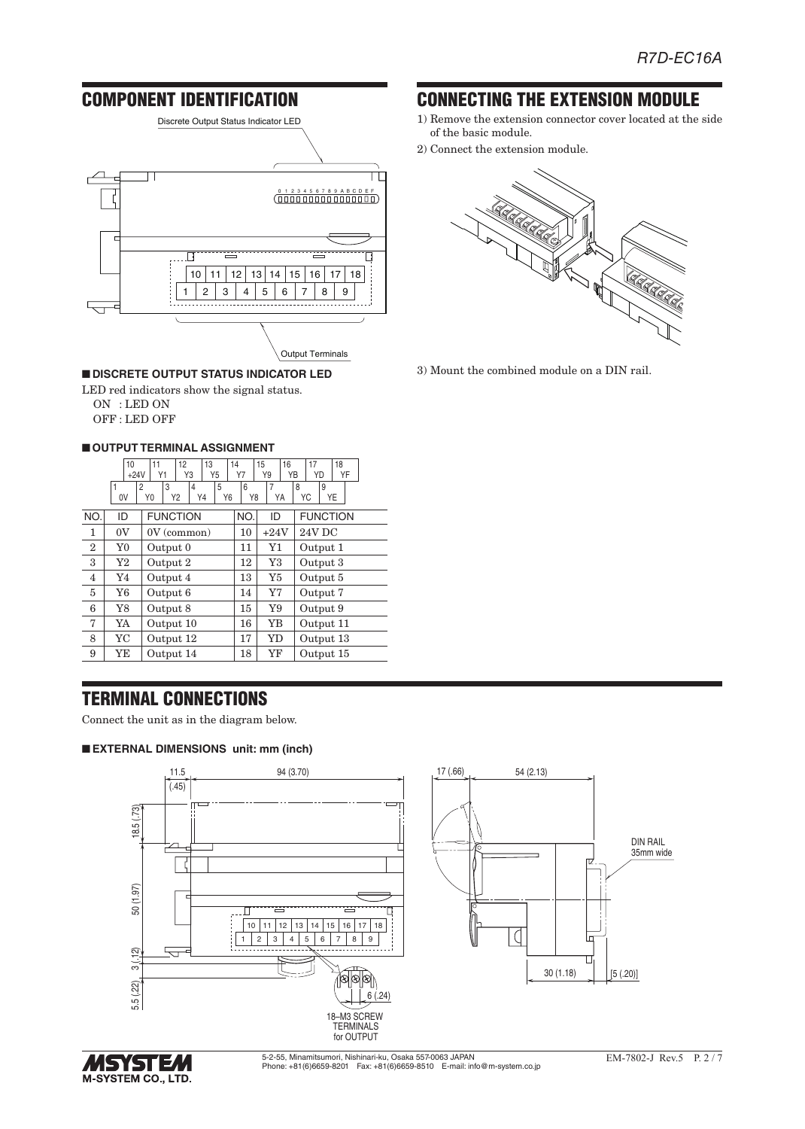

#### ■ **DISCRETE OUTPUT STATUS INDICATOR LED**

LED red indicators show the signal status. ON : LED ON OFF : LED OFF

## ■ **OUTPUT TERMINAL ASSIGNMENT**

|                | 10<br>$+24V$   | 12<br>11<br>13<br>Υ1<br>Y3<br>Y5                     | 14<br>Υ7 | 15<br>16<br>Y9<br>YΒ | 18<br>17<br>YD<br>YF |
|----------------|----------------|------------------------------------------------------|----------|----------------------|----------------------|
|                | 1<br>0V        | 3<br>5<br>4<br>2<br>Y <sub>0</sub><br>Y2<br>Y4<br>Y6 | 6<br>Y8  | 7<br>YA              | 9<br>8<br>YC<br>YE   |
| NO.            | ID             | <b>FUNCTION</b>                                      | NO.      | ID                   | <b>FUNCTION</b>      |
| 1              | 0V             | $0V$ (common)                                        | 10       | $+24V$               | 24V DC               |
| $\overline{2}$ | Y <sub>0</sub> | Output 0                                             | 11       | Y1                   | Output 1             |
| 3              | Y2             | Output 2                                             | 12       | Y3                   | Output 3             |
| $\overline{4}$ | Y4             | Output 4                                             | 13       | Y5                   | Output 5             |
| 5              | Y6             | Output 6                                             | 14       | Y7                   | Output 7             |
| 6              | Y8             | Output 8                                             | 15       | Y9                   | Output 9             |
| 7              | YA             | Output 10                                            | 16       | YΒ                   | Output 11            |
| 8              | <b>YC</b>      | Output 12                                            | 17       | YD                   | Output 13            |
| 9              | YΕ             | Output 14                                            | 18       | YF                   | Output 15            |

# TERMINAL CONNECTIONS

Connect the unit as in the diagram below.

#### ■ **EXTERNAL DIMENSIONS unit: mm (inch)**





5-2-55, Minamitsumori, Nishinari-ku, Osaka 557-0063 JAPAN Phone: +81(6)6659-8201 Fax: +81(6)6659-8510 E-mail: info@m-system.co.jp

# CONNECTING THE EXTENSION MODULE

- 1) Remove the extension connector cover located at the side of the basic module.
- 2) Connect the extension module.



3) Mount the combined module on a DIN rail.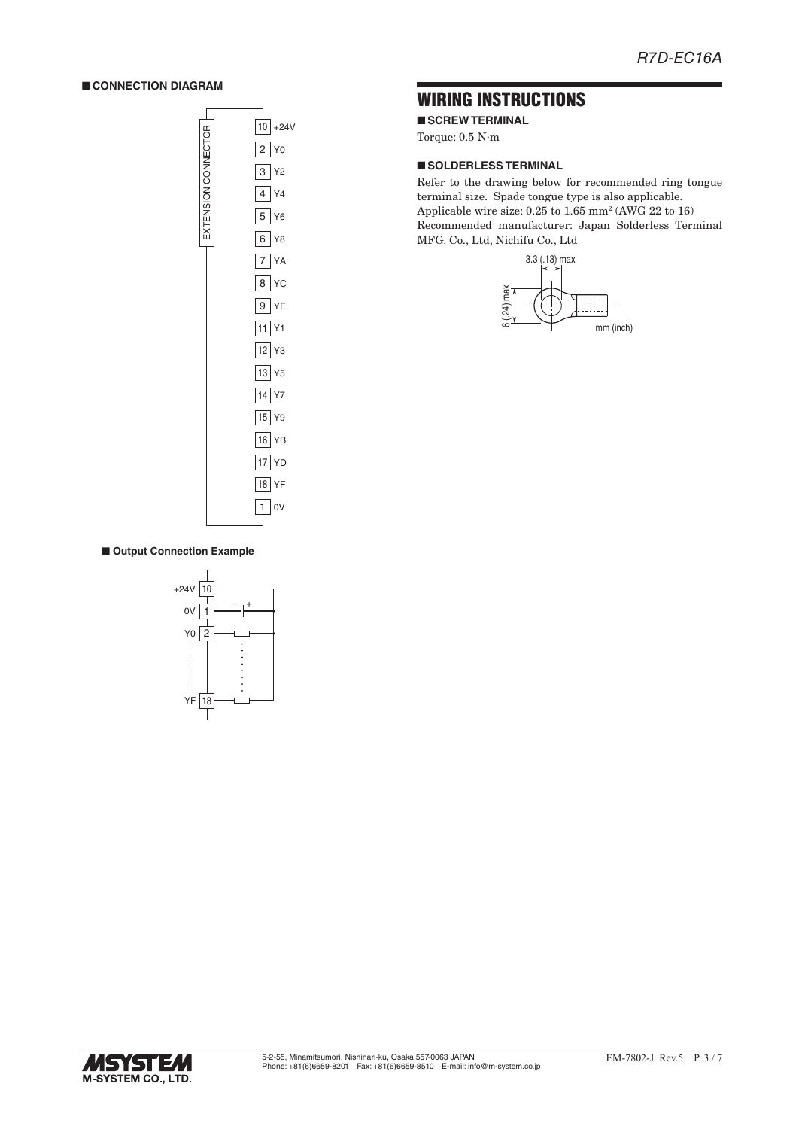### ■ **CONNECTION DIAGRAM**



# WIRING INSTRUCTIONS

■ **SCREW TERMINAL** 

Torque: 0.5 N·m

### ■ **SOLDERLESS TERMINAL**

Refer to the drawing below for recommended ring tongue terminal size. Spade tongue type is also applicable. Applicable wire size: 0.25 to 1.65 mm2 (AWG 22 to 16) Recommended manufacturer: Japan Solderless Terminal MFG. Co., Ltd, Nichifu Co., Ltd



### ■ Output Connection Example



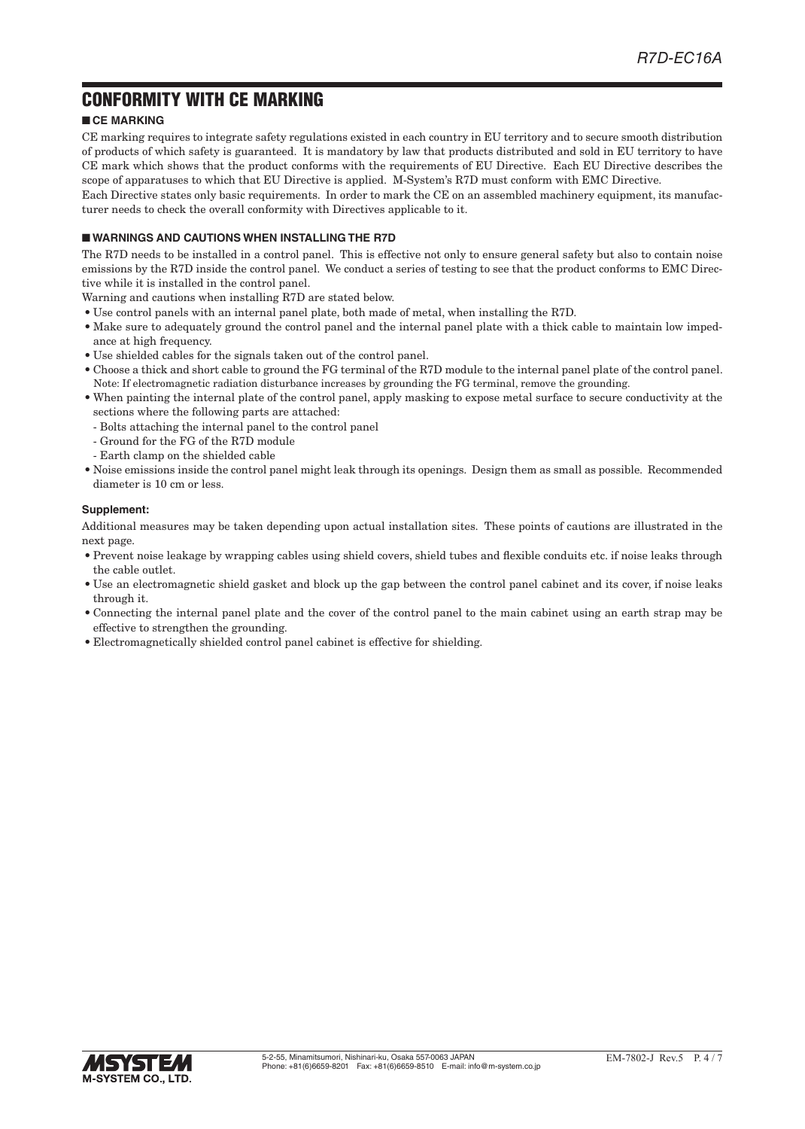# CONFORMITY WITH CE MARKING

# ■ **CE MARKING**

CE marking requires to integrate safety regulations existed in each country in EU territory and to secure smooth distribution of products of which safety is guaranteed. It is mandatory by law that products distributed and sold in EU territory to have CE mark which shows that the product conforms with the requirements of EU Directive. Each EU Directive describes the scope of apparatuses to which that EU Directive is applied. M-System's R7D must conform with EMC Directive.

Each Directive states only basic requirements. In order to mark the CE on an assembled machinery equipment, its manufacturer needs to check the overall conformity with Directives applicable to it.

## ■ **WARNINGS AND CAUTIONS WHEN INSTALLING THE R7D**

The R7D needs to be installed in a control panel. This is effective not only to ensure general safety but also to contain noise emissions by the R7D inside the control panel. We conduct a series of testing to see that the product conforms to EMC Directive while it is installed in the control panel.

Warning and cautions when installing R7D are stated below.

- Use control panels with an internal panel plate, both made of metal, when installing the R7D.
- Make sure to adequately ground the control panel and the internal panel plate with a thick cable to maintain low impedance at high frequency.
- Use shielded cables for the signals taken out of the control panel.
- Choose a thick and short cable to ground the FG terminal of the R7D module to the internal panel plate of the control panel. Note: If electromagnetic radiation disturbance increases by grounding the FG terminal, remove the grounding.
- When painting the internal plate of the control panel, apply masking to expose metal surface to secure conductivity at the sections where the following parts are attached:
- Bolts attaching the internal panel to the control panel
- Ground for the FG of the R7D module
- Earth clamp on the shielded cable
- Noise emissions inside the control panel might leak through its openings. Design them as small as possible. Recommended diameter is 10 cm or less.

### **Supplement:**

Additional measures may be taken depending upon actual installation sites. These points of cautions are illustrated in the next page.

- Prevent noise leakage by wrapping cables using shield covers, shield tubes and flexible conduits etc. if noise leaks through the cable outlet.
- Use an electromagnetic shield gasket and block up the gap between the control panel cabinet and its cover, if noise leaks through it.
- Connecting the internal panel plate and the cover of the control panel to the main cabinet using an earth strap may be effective to strengthen the grounding.
- Electromagnetically shielded control panel cabinet is effective for shielding.

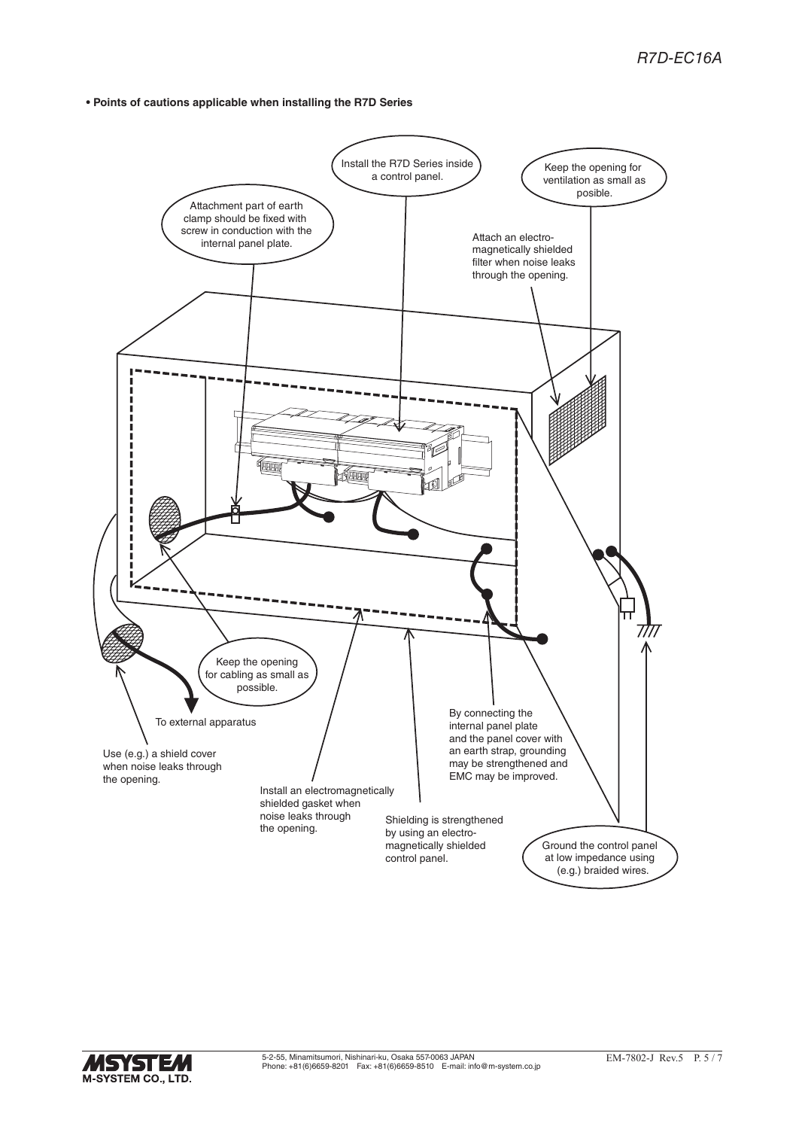**• Points of cautions applicable when installing the R7D Series**



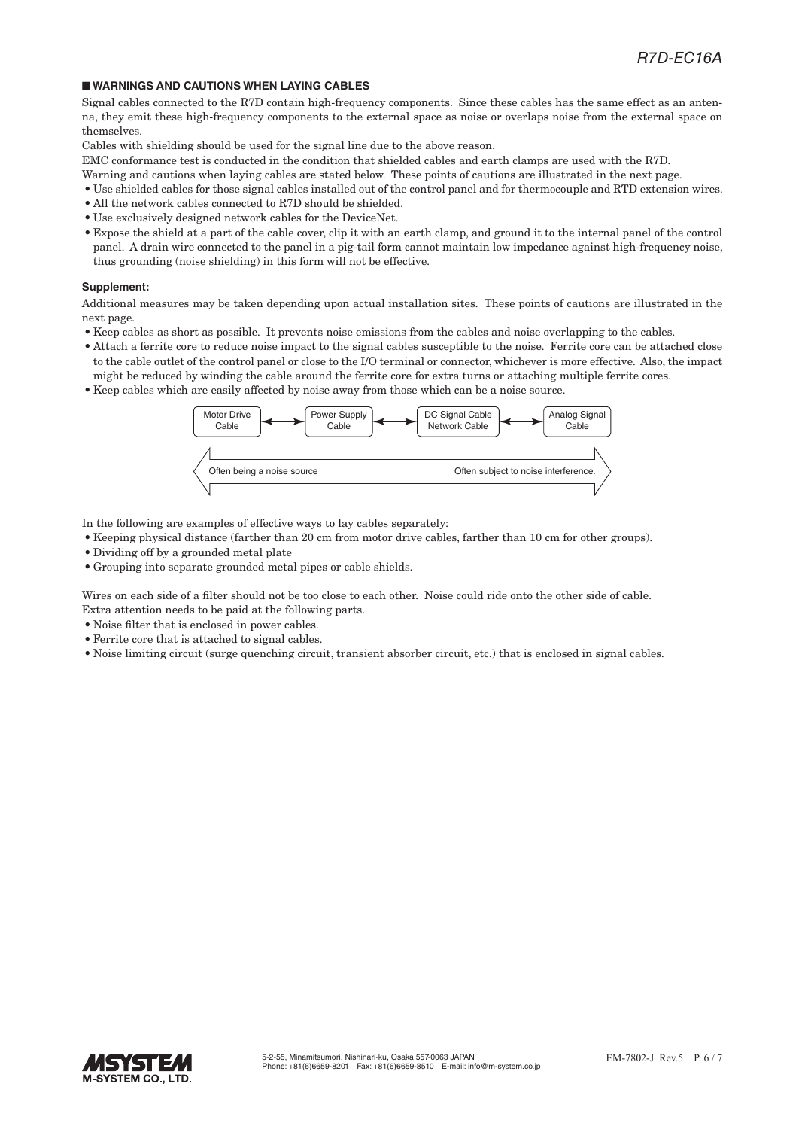#### ■ **WARNINGS AND CAUTIONS WHEN LAYING CABLES**

Signal cables connected to the R7D contain high-frequency components. Since these cables has the same effect as an antenna, they emit these high-frequency components to the external space as noise or overlaps noise from the external space on themselves.

Cables with shielding should be used for the signal line due to the above reason.

EMC conformance test is conducted in the condition that shielded cables and earth clamps are used with the R7D.

- Warning and cautions when laying cables are stated below. These points of cautions are illustrated in the next page.
- Use shielded cables for those signal cables installed out of the control panel and for thermocouple and RTD extension wires.
- All the network cables connected to R7D should be shielded.
- Use exclusively designed network cables for the DeviceNet.
- Expose the shield at a part of the cable cover, clip it with an earth clamp, and ground it to the internal panel of the control panel. A drain wire connected to the panel in a pig-tail form cannot maintain low impedance against high-frequency noise, thus grounding (noise shielding) in this form will not be effective.

#### **Supplement:**

Additional measures may be taken depending upon actual installation sites. These points of cautions are illustrated in the next page.

- Keep cables as short as possible. It prevents noise emissions from the cables and noise overlapping to the cables.
- Attach a ferrite core to reduce noise impact to the signal cables susceptible to the noise. Ferrite core can be attached close to the cable outlet of the control panel or close to the I/O terminal or connector, whichever is more effective. Also, the impact might be reduced by winding the cable around the ferrite core for extra turns or attaching multiple ferrite cores.
- Keep cables which are easily affected by noise away from those which can be a noise source.



In the following are examples of effective ways to lay cables separately:

- Keeping physical distance (farther than 20 cm from motor drive cables, farther than 10 cm for other groups).
- Dividing off by a grounded metal plate
- Grouping into separate grounded metal pipes or cable shields.

Wires on each side of a filter should not be too close to each other. Noise could ride onto the other side of cable. Extra attention needs to be paid at the following parts.

- Noise filter that is enclosed in power cables.
- Ferrite core that is attached to signal cables.
- Noise limiting circuit (surge quenching circuit, transient absorber circuit, etc.) that is enclosed in signal cables.